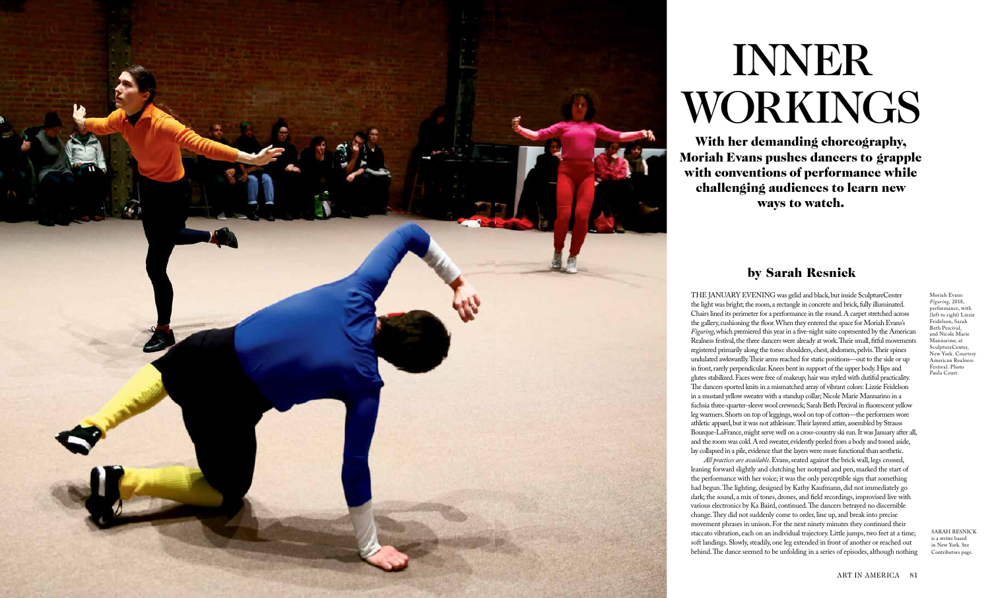

THE JANUARY EVENING was gelid and black, but inside SculptureCenter the light was bright; the room, a rectangle in concrete and brick, fully illuminated. Chairs lined its perimeter for a performance in the round. A carpet stretched across the gallery, cushioning the floor. When they entered the space for Moriah Evans's *Figuring*, which premiered this year in a five-night suite copresented by the American Realness festival, the three dancers were already at work. Their small, fitful movements registered primarily along the torso: shoulders, chest, abdomen, pelvis. Their spines undulated awkwardly. Their arms reached for static positions—out to the side or up in front, rarely perpendicular. Knees bent in support of the upper body. Hips and glutes stabilized. Faces were free of makeup; hair was styled with dutiful practicality. The dancers sported knits in a mismatched array of vibrant colors: Lizzie Feidelson in a mustard yellow sweater with a standup collar; Nicole Marie Mannarino in a fuchsia three-quarter-sleeve wool crewneck; Sarah Beth Percival in fluorescent yellow leg warmers. Shorts on top of leggings, wool on top of cotton—the performers wore athletic apparel, but it was not athleisure. Their layered attire, assembled by Strauss Bourque-LaFrance, might serve well on a cross-country ski run. It was January after all, and the room was cold. A red sweater, evidently peeled from a body and tossed aside, lay collapsed in a pile, evidence that the layers were more functional than aesthetic.

*All practices are available*. Evans, seated against the brick wall, legs crossed, leaning forward slightly and clutching her notepad and pen, marked the start of the performance with her voice; it was the only perceptible sign that something had begun. The lighting, designed by Kathy Kaufmann, did not immediately go dark; the sound, a mix of tones, drones, and field recordings, improvised live with various electronics by Ka Baird, continued. The dancers betrayed no discernible change. They did not suddenly come to order, line up, and break into precise movement phrases in unison. For the next ninety minutes they continued their staccato vibration, each on an individual trajectory. Little jumps, two feet at a time; soft landings. Slowly, steadily, one leg extended in front of another or reached out behind. The dance seemed to be unfolding in a series of episodes, although nothing

## by Sarah Resnick

INNER WORKINGS

With her demanding choreography, Moriah Evans pushes dancers to grapple with conventions of performance while challenging audiences to learn new ways to watch.

> SARAH RESNICK is a writer based in New York. See Contributors page.

Moriah Evans: *Figuring*, 2018, performance, with (left to right) Lizzie Feidelson, Sarah Beth Percival, and Nicole Marie Mannarino; at SculptureCenter, New York. Courtesy American Realness Festival. Photo Paula Court.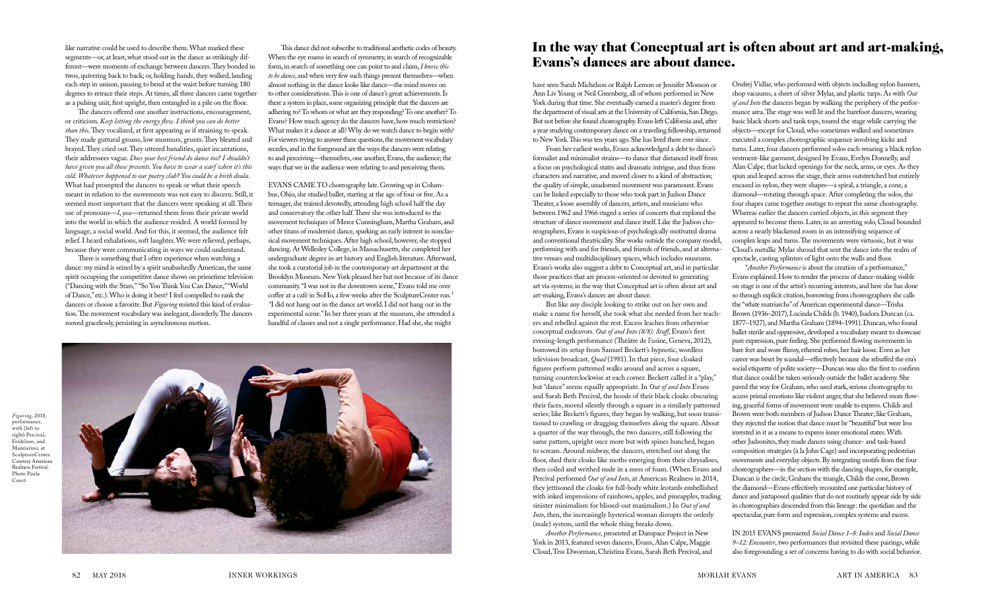Ondrej Vidlar, who performed with objects including nylon banners, shop vacuums, a sheet of silver Mylar, and plastic tarps. As with *Out of and Into* the dancers began by walking the periphery of the performance area. The stage was well lit and the barefoot dancers, wearing basic black shorts and tank tops, toured the stage while carrying the objects—except for Cloud, who sometimes walked and sometimes executed a complex choreographic sequence involving kicks and turns. Later, four dancers performed solos each wearing a black nylon vestment-like garment, designed by Evans, Evelyn Donnelly, and Alan Calpe, that lacked openings for the neck, arms, or eyes. As they spun and leaped across the stage, their arms outstretched but entirely encased in nylon, they were shapes—a spiral, a triangle, a cone, a diamond—rotating through space. After completing the solos, the four shapes came together onstage to repeat the same choreography. Whereas earlier the dancers carried objects, in this segment they appeared to become them. Later, in an arresting solo, Cloud bounded across a nearly blackened room in an intensifying sequence of complex leaps and turns. The movements were virtuosic, but it was Cloud's metallic Mylar shroud that sent the dance into the realm of spectacle, casting splinters of light onto the walls and floor.

IN 2015 EVANS premiered *Social Dance 1–8: Index* and *Social Dance 9–12: Encounter*, two performances that revisited these pairings, while also foregrounding a set of concerns having to do with social behavior.

"*Another Performance* is about the creation of a performance," Evans explained. How to render the process of dance-making visible on stage is one of the artist's recurring interests, and here she has done so through explicit citation, borrowing from choreographers she calls the "white matriarchs" of American experimental dance—Trisha Brown (1936–2017), Lucinda Childs (b. 1940), Isadora Duncan (ca. 1877–1927), and Martha Graham (1894–1991). Duncan, who found ballet sterile and oppressive, developed a vocabulary meant to showcase pure expression, pure feeling. She performed flowing movements in bare feet and wore flimsy, ethereal robes, her hair loose. Even as her career was beset by scandal—effectively because she rebuffed the era's social etiquette of polite society—Duncan was also the first to confirm that dance could be taken seriously outside the ballet academy. She paved the way for Graham, who used stark, serious choreography to access primal emotions like violent anger, that she believed more flowing, graceful forms of movement were unable to express. Childs and Brown were both members of Judson Dance Theater; like Graham, they rejected the notion that dance must be "beautiful" but were less invested in it as a means to express inner emotional states. With other Judsonites, they made dances using chance- and task-based composition strategies (à la John Cage) and incorporating pedestrian movements and everyday objects. By integrating motifs from the four choreographers—in the section with the dancing shapes, for example, Duncan is the circle, Graham the triangle, Childs the cone, Brown the diamond—Evans effectively recounted one particular history of dance and juxtaposed qualities that do not routinely appear side by side in choreographies descended from this lineage: the quotidian and the spectacular, pure form and expression, complex systems and excess. those practices that are process-oriented or devoted to generating art via systems; in the way that Conceptual art is often about art and art-making, Evans's dances are about dance. But like any disciple looking to strike out on her own and make a name for herself, she took what she needed from her teachers and rebelled against the rest. Excess leaches from otherwise conceptual endeavors. *Out of and Into (8/8): Stuff*, Evans's first evening-length performance (Théâtre de l'usine, Geneva, 2012), borrowed its setup from Samuel Beckett's hypnotic, wordless television broadcast, *Quad* (1981). In that piece, four cloaked figures perform patterned walks around and across a square, turning counterclockwise at each corner. Beckett called it a "play," but "dance" seems equally appropriate. In *Out of and Into* Evans and Sarah Beth Percival, the hoods of their black cloaks obscuring their faces, moved silently through a square in a similarly patterned series; like Beckett's figures, they began by walking, but soon transitioned to crawling or dragging themselves along the square. About a quarter of the way through, the two dancers, still following the same pattern, upright once more but with spines hunched, began to scream. Around midway, the dancers, stretched out along the floor, shed their cloaks like moths emerging from their chrysalises, then coiled and writhed nude in a mess of foam. (When Evans and Percival performed *Out of and Into*, at American Realness in 2014, they jettisoned the cloaks for full-body white leotards embellished with inked impressions of rainbows, apples, and pineapples, trading sinister minimalism for blissed-out maximalism.) In *Out of and Into*, then, the increasingly hysterical woman disrupts the orderly (male) system, until the whole thing breaks down.

have seen Sarah Michelson or Ralph Lemon or Jennifer Monson or Ann Liv Young or Neil Greenberg, all of whom performed in New York during that time. She eventually earned a master's degree from the department of visual arts at the University of California, San Diego. But not before she found choreography. Evans left California and, after a year studying contemporary dance on a traveling fellowship, returned to New York. This was ten years ago. She has lived there ever since. From her earliest works, Evans acknowledged a debt to dance's formalist and minimalist strains—to dance that distanced itself from a focus on psychological states and dramatic intrigue, and thus from characters and narrative, and moved closer to a kind of abstraction; the quality of simple, unadorned movement was paramount. Evans can be linked especially to those who took part in Judson Dance Theater, a loose assembly of dancers, artists, and musicians who between 1962 and 1966 staged a series of concerts that explored the structure of dance movement and dance itself. Like the Judson choreographers, Evans is suspicious of psychologically motivated drama and conventional theatricality. She works outside the company model, performing with and for friends, and friends of friends, and at alternative venues and multidisciplinary spaces, which includes museums. Evans's works also suggest a debt to Conceptual art, and in particular

*Another Performance*, presented at Danspace Project in New York in 2013, featured seven dancers, Evans, Alan Calpe, Maggie Cloud, Tess Dworman, Christina Evans, Sarah Beth Percival, and

This dance did not subscribe to traditional aesthetic codes of beauty. When the eye roams in search of symmetry, in search of recognizable form, in search of something one can point to and claim, *I know this to be dance*, and when very few such things present themselves—when almost nothing in the dance looks like dance—the mind moves on to other considerations. This is one of dance's great achievements. Is there a system in place, some organizing principle that the dancers are adhering to? To whom or what are they responding? To one another? To Evans? How much agency do the dancers have, how much restriction? What makes it a dance at all? Why do we watch dance to begin with? For viewers trying to answer these questions, the movement vocabulary recedes, and in the foreground are the ways the dancers were relating to and perceiving—themselves, one another, Evans, the audience; the ways that we in the audience were relating to and perceiving them.

EVANS CAME TO choreography late. Growing up in Columbus, Ohio, she studied ballet, starting at the age of four or five. As a teenager, she trained devotedly, attending high school half the day and conservatory the other half. There she was introduced to the movement techniques of Merce Cunningham, Martha Graham, and other titans of modernist dance, sparking an early interest in nonclassical movement techniques. After high school, however, she stopped dancing. At Wellesley College, in Massachusetts, she completed her undergraduate degree in art history and English literature. Afterward, she took a curatorial job in the contemporary art department at the Brooklyn Museum. New York pleased her but not because of its dance community. "I was not in the downtown scene," Evans told me over coffee at a café in SoHo, a few weeks after the SculptureCenter run*.* 1 *"*I did not hang out in the dance art world. I did not hang out in the experimental scene." In her three years at the museum, she attended a handful of classes and not a single performance. Had she, she might

like narrative could be used to describe them. What marked these segments—or, at least, what stood out in the dance as strikingly different—were moments of exchange between dancers. They bonded in twos, quivering back to back; or, holding hands, they walked, landing each step in unison, pausing to bend at the waist before turning 180 degrees to retrace their steps. At times, all three dancers came together as a pulsing unit, first upright, then entangled in a pile on the floor.

The dancers offered one another instructions, encouragement, or criticism. *Keep letting the energy flow*. *I think you can do better than this*. They vocalized, at first appearing as if straining to speak. They made guttural groans, low murmurs, grunts. They bleated and brayed. They cried out. They uttered banalities, quiet incantations, their addressees vague. *Does your best friend do dance too? I shouldn't have given you all those presents. You have to wear a scarf when it's this cold. Whatever happened to our poetry club? You could be a birth doula.* What had prompted the dancers to speak or what their speech meant in relation to the movements was not easy to discern. Still, it seemed most important that the dancers were speaking at all. Their use of pronouns—*I*, *you*—returned them from their private world into the world in which the audience resided. A world formed by language, a social world. And for this, it seemed, the audience felt relief. I heard exhalations, soft laughter. We were relieved, perhaps, because they were communicating in ways we could understand.

There is something that I often experience when watching a dance: my mind is seized by a spirit unabashedly American, the same spirit occupying the competitive dance shows on primetime television ("Dancing with the Stars*,*""So You Think You Can Dance," "World of Dance," etc.)*.* Who is doing it best? I feel compelled to rank the dancers or choose a favorite. But *Figuring* resisted this kind of evaluation. The movement vocabulary was inelegant, disorderly. The dancers moved gracelessly, persisting in asynchronous motion.

*Figuring*, 2018, performance, with (left to right) Percival, Feidelson, and Mannarino; at SculptureCenter. Courtesy American Realness Festival. Photo Paula Court.



## In the way that Conceptual art is often about art and art-making, Evans's dances are about dance.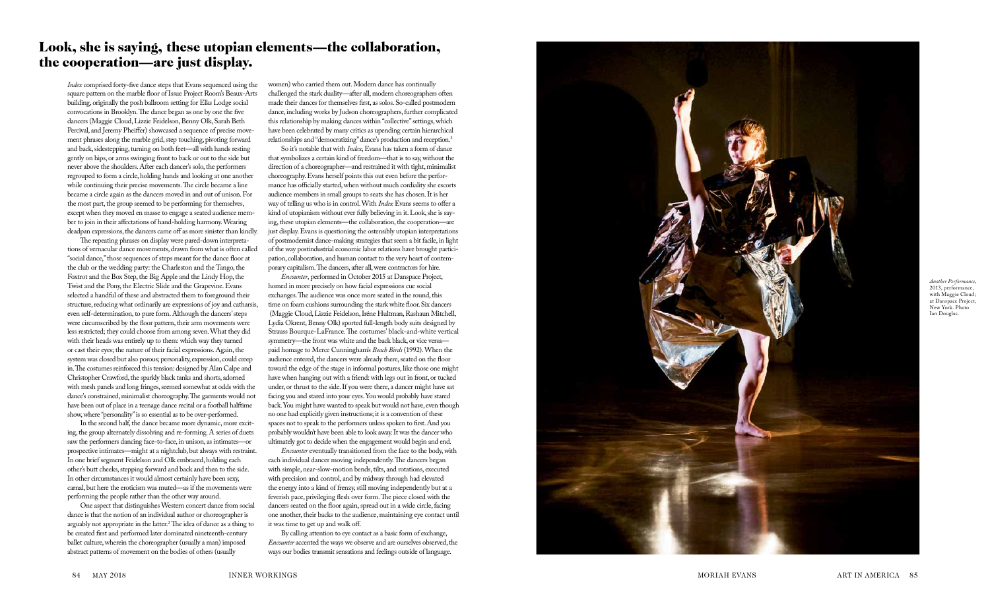women) who carried them out. Modern dance has continually challenged the stark duality—after all, modern choreographers often made their dances for themselves first, as solos. So-called postmodern dance, including works by Judson choreographers, further complicated this relationship by making dances within "collective" settings, which have been celebrated by many critics as upending certain hierarchical relationships and "democratizing" dance's production and reception. 3

So it's notable that with *Index*, Evans has taken a form of dance that symbolizes a certain kind of freedom—that is to say, without the direction of a choreographer—and restrained it with tight, minimalist choreography. Evans herself points this out even before the perfor mance has officially started, when without much cordiality she escorts audience members in small groups to seats she has chosen. It is her way of telling us who is in control. With *Index* Evans seems to offer a kind of utopianism without ever fully believing in it. Look, she is say ing, these utopian elements—the collaboration, the cooperation—are just display. Evans is questioning the ostensibly utopian interpretations of postmodernist dance-making strategies that seem a bit facile, in light of the way postindustrial economic labor relations have brought partici pation, collaboration, and human contact to the very heart of contem porary capitalism. The dancers, after all, were contractors for hire.

*Encounter*, performed in October 2015 at Danspace Project, homed in more precisely on how facial expressions cue social exchanges. The audience was once more seated in the round, this time on foam cushions surrounding the stark white floor. Six dancers (Maggie Cloud, Lizzie Feidelson, Iréne Hultman, Rashaun Mitchell, Lydia Okrent, Benny Olk) sported full-length body suits designed by Strauss Bourque-LaFrance. The costumes' black-and-white vertical symmetry—the front was white and the back black, or vice versa paid homage to Merce Cunningham's *Beach Birds* (1992). When the audience entered, the dancers were already there, seated on the floor toward the edge of the stage in informal postures, like those one might have when hanging out with a friend: with legs out in front, or tucked under, or thrust to the side. If you were there, a dancer might have sat facing you and stared into your eyes. You would probably have stared back. You might have wanted to speak but would not have, even though no one had explicitly given instructions; it is a convention of these spaces not to speak to the performers unless spoken to first. And you probably wouldn't have been able to look away. It was the dancer who ultimately got to decide when the engagement would begin and end.

The repeating phrases on display were pared-down interpretations of vernacular dance movements, drawn from what is often called "social dance," those sequences of steps meant for the dance floor at the club or the wedding party: the Charleston and the Tango, the Foxtrot and the Box Step, the Big Apple and the Lindy Hop, the Twist and the Pony, the Electric Slide and the Grapevine. Evans selected a handful of these and abstracted them to foreground their structure, reducing what ordinarily are expressions of joy and catharsis, even self-determination, to pure form. Although the dancers' steps were circumscribed by the floor pattern, their arm movements were less restricted; they could choose from among seven. What they did with their heads was entirely up to them: which way they turned or cast their eyes; the nature of their facial expressions. Again, the system was closed but also porous; personality, expression, could creep in. The costumes reinforced this tension: designed by Alan Calpe and Christopher Crawford, the sparkly black tanks and shorts, adorned with mesh panels and long fringes, seemed somewhat at odds with the dance's constrained, minimalist choreography. The garments would not have been out of place in a teenage dance recital or a football halftime show, where "personality" is so essential as to be over-performed.

> *Encounter* eventually transitioned from the face to the body, with each individual dancer moving independently. The dancers began with simple, near-slow-motion bends, tilts, and rotations, executed with precision and control, and by midway through had elevated the energy into a kind of frenzy, still moving independently but at a feverish pace, privileging flesh over form. The piece closed with the dancers seated on the floor again, spread out in a wide circle, facing one another, their backs to the audience, maintaining eye contact until it was time to get up and walk off.

By calling attention to eye contact as a basic form of exchange, *Encounter* accented the ways we observe and are ourselves observed, the ways our bodies transmit sensations and feelings outside of language.



*Index* comprised forty-five dance steps that Evans sequenced using the square pattern on the marble floor of Issue Project Room's Beaux-Arts building, originally the posh ballroom setting for Elks Lodge social convocations in Brooklyn. The dance began as one by one the five dancers (Maggie Cloud, Lizzie Feidelson, Benny Olk, Sarah Beth Percival, and Jeremy Pheiffer) showcased a sequence of precise move ment phrases along the marble grid, step touching, pivoting forward and back, sidestepping, turning on both feet—all with hands resting gently on hips, or arms swinging front to back or out to the side but never above the shoulders. After each dancer's solo, the performers regrouped to form a circle, holding hands and looking at one another while continuing their precise movements. The circle became a line became a circle again as the dancers moved in and out of unison. For the most part, the group seemed to be performing for themselves, except when they moved en masse to engage a seated audience mem ber to join in their affectations of hand-holding harmony. Wearing deadpan expressions, the dancers came off as more sinister than kindly.

In the second half, the dance became more dynamic, more excit ing, the group alternately dissolving and re-forming. A series of duets saw the performers dancing face-to-face, in unison, as intimates—or prospective intimates—might at a nightclub, but always with restraint. In one brief segment Feidelson and Olk embraced, holding each other's butt cheeks, stepping forward and back and then to the side. In other circumstances it would almost certainly have been sexy, carnal, but here the eroticism was muted—as if the movements were performing the people rather than the other way around.

One aspect that distinguishes Western concert dance from social dance is that the notion of an individual author or choreographer is arguably not appropriate in the latter. 2 The idea of dance as a thing to be created first and performed later dominated nineteenth-century ballet culture, wherein the choreographer (usually a man) imposed abstract patterns of movement on the bodies of others (usually

*Another Performance*, 2013, performance, with Maggie Cloud; at Danspace Project, New York. Photo Ian Douglas.

## Look, she is saying, these utopian elements—the collaboration, the cooperation—are just display.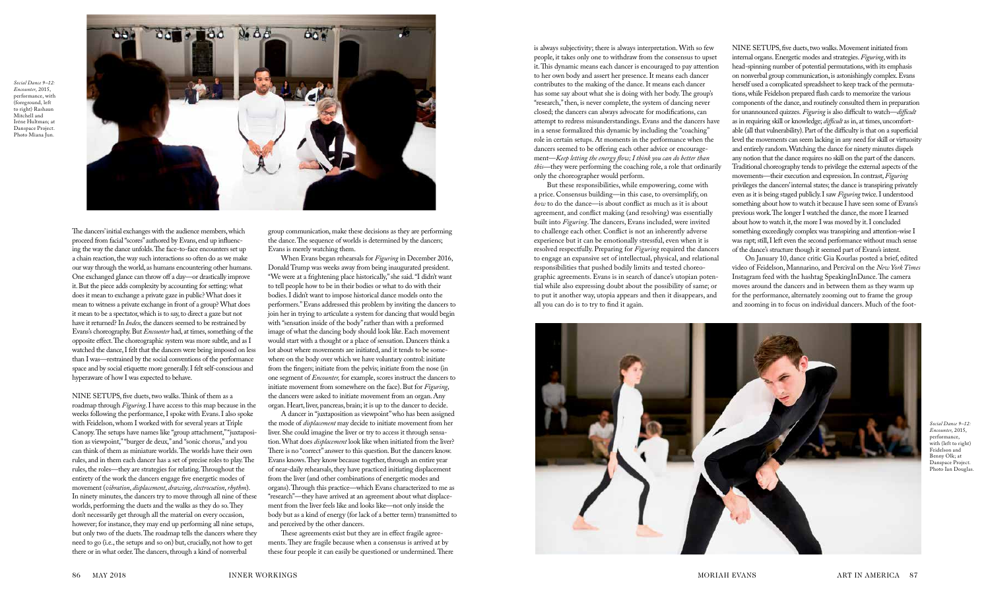NINE SETUPS, five duets, two walks. Movement initiated from internal organs. Energetic modes and strategies. *Figuring*, with its head-spinning number of potential permutations, with its emphasis on nonverbal group communication, is astonishingly complex. Evans herself used a complicated spreadsheet to keep track of the permutations, while Feidelson prepared flash cards to memorize the various components of the dance, and routinely consulted them in preparation for unannounced quizzes*. Figuring* is also difficult to watch—*difficult*  as in requiring skill or knowledge; *difficult* as in, at times, uncomfortable (all that vulnerability). Part of the difficulty is that on a superficial level the movements can seem lacking in any need for skill or virtuosity and entirely random. Watching the dance for ninety minutes dispels any notion that the dance requires no skill on the part of the dancers. Traditional choreography tends to privilege the external aspects of the movements—their execution and expression. In contrast, *Figuring*  privileges the dancers' internal states; the dance is transpiring privately even as it is being staged publicly. I saw *Figuring* twice. I understood something about how to watch it because I have seen some of Evans's previous work. The longer I watched the dance, the more I learned about how to watch it, the more I was moved by it. I concluded something exceedingly complex was transpiring and attention-wise I was rapt; still, I left even the second performance without much sense of the dance's structure though it seemed part of Evans's intent.

On January 10, dance critic Gia Kourlas posted a brief, edited video of Feidelson, Mannarino, and Percival on the *New York Times*  Instagram feed with the hashtag SpeakingInDance. The camera moves around the dancers and in between them as they warm up for the performance, alternately zooming out to frame the group and zooming in to focus on individual dancers. Much of the foot-

is always subjectivity; there is always interpretation. With so few people, it takes only one to withdraw from the consensus to upset it. This dynamic means each dancer is encouraged to pay attention to her own body and assert her presence. It means each dancer contributes to the making of the dance. It means each dancer has some say about what she is doing with her body. The group's "research," then, is never complete, the system of dancing never closed; the dancers can always advocate for modifications, can attempt to redress misunderstandings. Evans and the dancers have in a sense formalized this dynamic by including the "coaching" role in certain setups. At moments in the performance when the dancers seemed to be offering each other advice or encouragement—*Keep letting the energy flow; I think you can do better than this—*they were performing the coaching role, a role that ordinarily only the choreographer would perform.

But these responsibilities, while empowering, come with a price. Consensus building—in this case, to oversimplify, on *how* to do the dance—is about conflict as much as it is about agreement, and conflict making (and resolving) was essentially built into *Figuring*. The dancers, Evans included, were invited to challenge each other. Conflict is not an inherently adverse experience but it can be emotionally stressful, even when it is resolved respectfully. Preparing for *Figuring* required the dancers to engage an expansive set of intellectual, physical, and relational responsibilities that pushed bodily limits and tested choreographic agreements. Evans is in search of dance's utopian potential while also expressing doubt about the possibility of same; or to put it another way, utopia appears and then it disappears, and all you can do is to try to find it again.



group communication, make these decisions as they are performing the dance. The sequence of worlds is determined by the dancers; Evans is merely watching them.

When Evans began rehearsals for *Figuring* in December 2016, Donald Trump was weeks away from being inaugurated president. "We were at a frightening place historically," she said. "I didn't want to tell people how to be in their bodies or what to do with their bodies. I didn't want to impose historical dance models onto the performers." Evans addressed this problem by inviting the dancers to join her in trying to articulate a system for dancing that would begin with "sensation inside of the body" rather than with a preformed image of what the dancing body should look like. Each movement would start with a thought or a place of sensation. Dancers think a lot about where movements are initiated, and it tends to be somewhere on the body over which we have voluntary control: initiate from the fingers; initiate from the pelvis; initiate from the nose (in one segment of *Encounter,* for example, scores instruct the dancers to initiate movement from somewhere on the face). But for *Figuring*, the dancers were asked to initiate movement from an organ. Any organ. Heart, liver, pancreas, brain; it is up to the dancer to decide.

A dancer in "juxtaposition as viewpoint" who has been assigned the mode of *displacement* may decide to initiate movement from her liver. She could imagine the liver or try to access it through sensation. What does *displacement* look like when initiated from the liver? There is no "correct" answer to this question. But the dancers know. Evans knows. They know because together, through an entire year of near-daily rehearsals, they have practiced initiating displacement from the liver (and other combinations of energetic modes and organs). Through this practice—which Evans characterized to me as "research"—they have arrived at an agreement about what displacement from the liver feels like and looks like—not only inside the body but as a kind of energy (for lack of a better term) transmitted to and perceived by the other dancers.

These agreements exist but they are in effect fragile agreements. They are fragile because when a consensus is arrived at by these four people it can easily be questioned or undermined. There

The dancers' initial exchanges with the audience members, which proceed from facial "scores" authored by Evans, end up influencing the way the dance unfolds. The face-to-face encounters set up a chain reaction, the way such interactions so often do as we make our way through the world, as humans encountering other humans. One exchanged glance can throw off a day—or drastically improve it. But the piece adds complexity by accounting for setting: what does it mean to exchange a private gaze in public? What does it mean to witness a private exchange in front of a group? What does it mean to be a spectator, which is to say, to direct a gaze but not have it returned? In *Index*, the dancers seemed to be restrained by Evans's choreography. But *Encounter* had, at times, something of the opposite effect. The choreographic system was more subtle, and as I watched the dance, I felt that the dancers were being imposed on less than I was—restrained by the social conventions of the performance space and by social etiquette more generally. I felt self-conscious and hyperaware of how I was expected to behave.

NINE SETUPS, five duets, two walks. Think of them as a roadmap through *Figuring*. I have access to this map because in the weeks following the performance, I spoke with Evans. I also spoke with Feidelson, whom I worked with for several years at Triple Canopy. The setups have names like "group attachment," "juxtaposition as viewpoint," "burger de deux," and "sonic chorus," and you can think of them as miniature worlds. The worlds have their own rules, and in them each dancer has a set of precise roles to play. The rules, the roles—they are strategies for relating. Throughout the entirety of the work the dancers engage five energetic modes of movement (*vibration*, *displacement*, *drawing*, *electrocution*, *rhythm*). In ninety minutes, the dancers try to move through all nine of these worlds, performing the duets and the walks as they do so. They don't necessarily get through all the material on every occasion, however; for instance, they may end up performing all nine setups, but only two of the duets. The roadmap tells the dancers where they need to go (i.e., the setups and so on) but, crucially, not how to get there or in what order. The dancers, through a kind of nonverbal

*Social Dance 9–12: Encounter*, 2015, performance, with (left to right) Feidelson and Benny Olk; at Danspace Project. Photo Ian Douglas.

*Social Dance 9–12: Encounter*, 2015, performance, with (foreground, left to right) Rashaun Mitchell and Iréne Hultman; at Danspace Project. Photo Miana Jun.